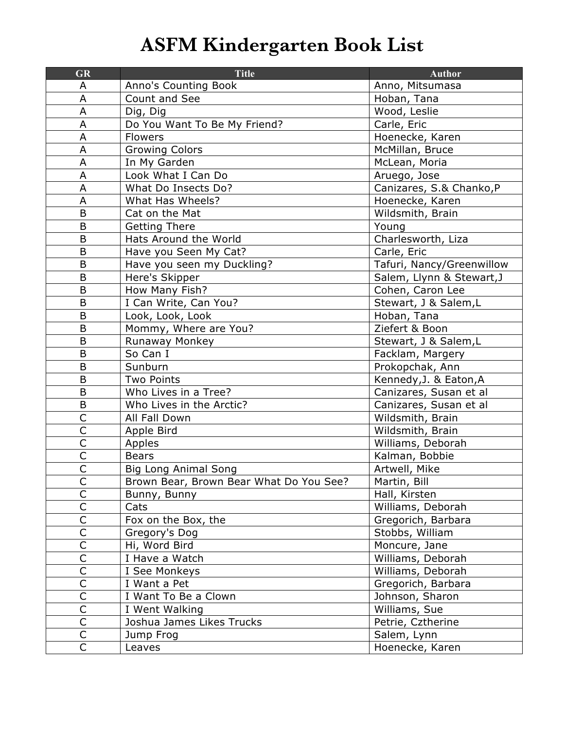## **ASFM Kindergarten Book List**

| <b>GR</b>               | <b>Title</b>                            | <b>Author</b>             |
|-------------------------|-----------------------------------------|---------------------------|
| A                       | Anno's Counting Book                    | Anno, Mitsumasa           |
| A                       | Count and See                           | Hoban, Tana               |
| A                       | Dig, Dig                                | Wood, Leslie              |
| A                       | Do You Want To Be My Friend?            | Carle, Eric               |
| A                       | Flowers                                 | Hoenecke, Karen           |
| A                       | <b>Growing Colors</b>                   | McMillan, Bruce           |
| A                       | In My Garden                            | McLean, Moria             |
| A                       | Look What I Can Do                      | Aruego, Jose              |
| A                       | What Do Insects Do?                     | Canizares, S.& Chanko, P  |
| A                       | What Has Wheels?                        | Hoenecke, Karen           |
| B                       | Cat on the Mat                          | Wildsmith, Brain          |
| B                       | <b>Getting There</b>                    | Young                     |
| B                       | Hats Around the World                   | Charlesworth, Liza        |
| B                       | Have you Seen My Cat?                   | Carle, Eric               |
| B                       | Have you seen my Duckling?              | Tafuri, Nancy/Greenwillow |
| B                       | Here's Skipper                          | Salem, Llynn & Stewart, J |
| B                       | How Many Fish?                          | Cohen, Caron Lee          |
| B                       | I Can Write, Can You?                   | Stewart, J & Salem,L      |
| B                       | Look, Look, Look                        | Hoban, Tana               |
| B                       | Mommy, Where are You?                   | Ziefert & Boon            |
| B                       | Runaway Monkey                          | Stewart, J & Salem,L      |
| $\mathsf B$             | So Can I                                | Facklam, Margery          |
| B                       | Sunburn                                 | Prokopchak, Ann           |
| B                       | <b>Two Points</b>                       | Kennedy, J. & Eaton, A    |
| B                       | Who Lives in a Tree?                    | Canizares, Susan et al    |
| B                       | Who Lives in the Arctic?                | Canizares, Susan et al    |
| $\overline{\mathsf{C}}$ | All Fall Down                           | Wildsmith, Brain          |
| $\overline{\mathsf{C}}$ | Apple Bird                              | Wildsmith, Brain          |
| $\overline{\mathsf{C}}$ | Apples                                  | Williams, Deborah         |
| $\overline{\mathsf{C}}$ | <b>Bears</b>                            | Kalman, Bobbie            |
| C                       | <b>Big Long Animal Song</b>             | Artwell, Mike             |
| С                       | Brown Bear, Brown Bear What Do You See? | Martin, Bill              |
| $\overline{\mathsf{C}}$ | Bunny, Bunny                            | Hall, Kirsten             |
| C                       | Cats                                    | Williams, Deborah         |
| $\mathsf C$             | Fox on the Box, the                     | Gregorich, Barbara        |
| $\overline{\mathsf{C}}$ | Gregory's Dog                           | Stobbs, William           |
| C                       | Hi, Word Bird                           | Moncure, Jane             |
| $\overline{C}$          | I Have a Watch                          | Williams, Deborah         |
| $\mathsf{C}$            | I See Monkeys                           | Williams, Deborah         |
| $\overline{\mathsf{C}}$ | I Want a Pet                            | Gregorich, Barbara        |
| $\mathsf{C}$            | I Want To Be a Clown                    | Johnson, Sharon           |
| $\overline{C}$          | I Went Walking                          | Williams, Sue             |
| $\overline{\mathsf{C}}$ | Joshua James Likes Trucks               | Petrie, Cztherine         |
| $\overline{\mathsf{C}}$ | Jump Frog                               | Salem, Lynn               |
| C                       | Leaves                                  | Hoenecke, Karen           |